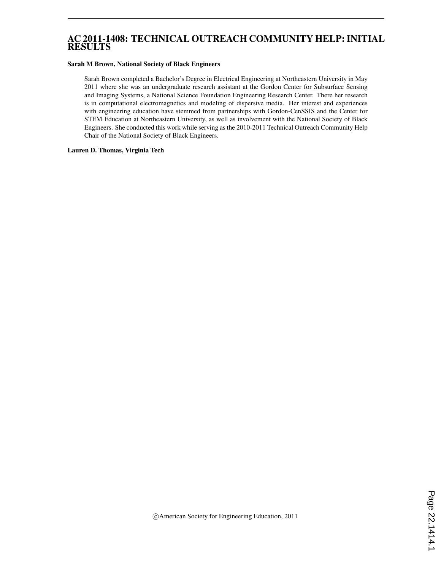## AC 2011-1408: TECHNICAL OUTREACH COMMUNITY HELP: INITIAL RESULTS

#### Sarah M Brown, National Society of Black Engineers

Sarah Brown completed a Bachelor's Degree in Electrical Engineering at Northeastern University in May 2011 where she was an undergraduate research assistant at the Gordon Center for Subsurface Sensing and Imaging Systems, a National Science Foundation Engineering Research Center. There her research is in computational electromagnetics and modeling of dispersive media. Her interest and experiences with engineering education have stemmed from partnerships with Gordon-CenSSIS and the Center for STEM Education at Northeastern University, as well as involvement with the National Society of Black Engineers. She conducted this work while serving as the 2010-2011 Technical Outreach Community Help Chair of the National Society of Black Engineers.

### Lauren D. Thomas, Virginia Tech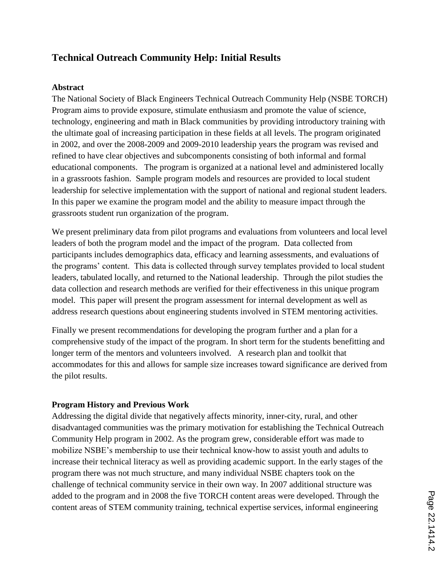# **Technical Outreach Community Help: Initial Results**

### **Abstract**

The National Society of Black Engineers Technical Outreach Community Help (NSBE TORCH) Program aims to provide exposure, stimulate enthusiasm and promote the value of science, technology, engineering and math in Black communities by providing introductory training with the ultimate goal of increasing participation in these fields at all levels. The program originated in 2002, and over the 2008-2009 and 2009-2010 leadership years the program was revised and refined to have clear objectives and subcomponents consisting of both informal and formal educational components. The program is organized at a national level and administered locally in a grassroots fashion. Sample program models and resources are provided to local student leadership for selective implementation with the support of national and regional student leaders. In this paper we examine the program model and the ability to measure impact through the grassroots student run organization of the program.

We present preliminary data from pilot programs and evaluations from volunteers and local level leaders of both the program model and the impact of the program. Data collected from participants includes demographics data, efficacy and learning assessments, and evaluations of the programs" content. This data is collected through survey templates provided to local student leaders, tabulated locally, and returned to the National leadership. Through the pilot studies the data collection and research methods are verified for their effectiveness in this unique program model. This paper will present the program assessment for internal development as well as address research questions about engineering students involved in STEM mentoring activities.

Finally we present recommendations for developing the program further and a plan for a comprehensive study of the impact of the program. In short term for the students benefitting and longer term of the mentors and volunteers involved. A research plan and toolkit that accommodates for this and allows for sample size increases toward significance are derived from the pilot results.

### **Program History and Previous Work**

Addressing the digital divide that negatively affects minority, inner-city, rural, and other disadvantaged communities was the primary motivation for establishing the Technical Outreach Community Help program in 2002. As the program grew, considerable effort was made to mobilize NSBE"s membership to use their technical know-how to assist youth and adults to increase their technical literacy as well as providing academic support. In the early stages of the program there was not much structure, and many individual NSBE chapters took on the challenge of technical community service in their own way. In 2007 additional structure was added to the program and in 2008 the five TORCH content areas were developed. Through the content areas of STEM community training, technical expertise services, informal engineering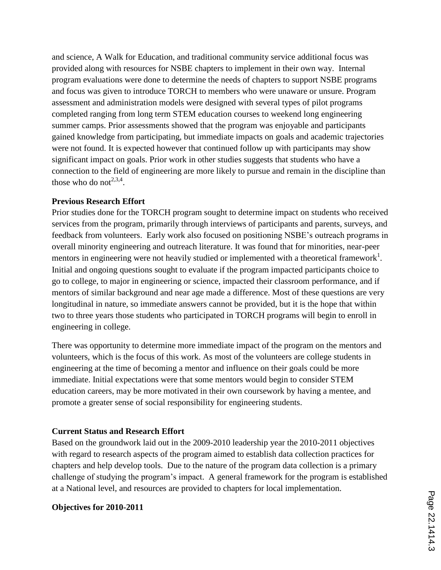and science, A Walk for Education, and traditional community service additional focus was provided along with resources for NSBE chapters to implement in their own way. Internal program evaluations were done to determine the needs of chapters to support NSBE programs and focus was given to introduce TORCH to members who were unaware or unsure. Program assessment and administration models were designed with several types of pilot programs completed ranging from long term STEM education courses to weekend long engineering summer camps. Prior assessments showed that the program was enjoyable and participants gained knowledge from participating, but immediate impacts on goals and academic trajectories were not found. It is expected however that continued follow up with participants may show significant impact on goals. Prior work in other studies suggests that students who have a connection to the field of engineering are more likely to pursue and remain in the discipline than those who do not<sup>2,3,4</sup>.

### **Previous Research Effort**

Prior studies done for the TORCH program sought to determine impact on students who received services from the program, primarily through interviews of participants and parents, surveys, and feedback from volunteers. Early work also focused on positioning NSBE"s outreach programs in overall minority engineering and outreach literature. It was found that for minorities, near-peer mentors in engineering were not heavily studied or implemented with a theoretical framework<sup>1</sup>. Initial and ongoing questions sought to evaluate if the program impacted participants choice to go to college, to major in engineering or science, impacted their classroom performance, and if mentors of similar background and near age made a difference. Most of these questions are very longitudinal in nature, so immediate answers cannot be provided, but it is the hope that within two to three years those students who participated in TORCH programs will begin to enroll in engineering in college.

There was opportunity to determine more immediate impact of the program on the mentors and volunteers, which is the focus of this work. As most of the volunteers are college students in engineering at the time of becoming a mentor and influence on their goals could be more immediate. Initial expectations were that some mentors would begin to consider STEM education careers, may be more motivated in their own coursework by having a mentee, and promote a greater sense of social responsibility for engineering students.

### **Current Status and Research Effort**

Based on the groundwork laid out in the 2009-2010 leadership year the 2010-2011 objectives with regard to research aspects of the program aimed to establish data collection practices for chapters and help develop tools. Due to the nature of the program data collection is a primary challenge of studying the program"s impact. A general framework for the program is established at a National level, and resources are provided to chapters for local implementation.

### **Objectives for 2010-2011**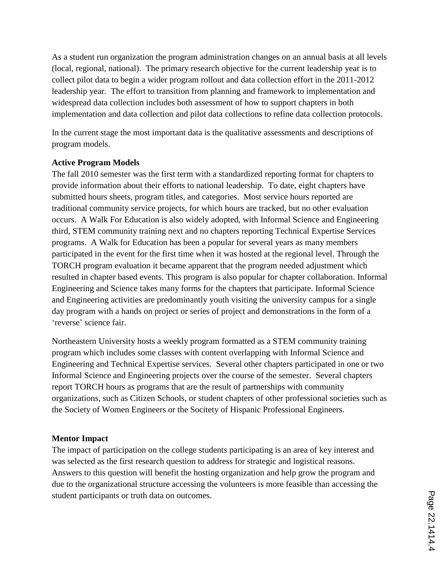As a student run organization the program administration changes on an annual basis at all levels (local, regional, national). The primary research objective for the current leadership year is to collect pilot data to begin a wider program rollout and data collection effort in the 2011-2012 leadership year. The effort to transition from planning and framework to implementation and widespread data collection includes both assessment of how to support chapters in both implementation and data collection and pilot data collections to refine data collection protocols.

In the current stage the most important data is the qualitative assessments and descriptions of program models.

### **Active Program Models**

The fall 2010 semester was the first term with a standardized reporting format for chapters to provide information about their efforts to national leadership. To date, eight chapters have submitted hours sheets, program titles, and categories. Most service hours reported are traditional community service projects, for which hours are tracked, but no other evaluation occurs. A Walk For Education is also widely adopted, with Informal Science and Engineering third, STEM community training next and no chapters reporting Technical Expertise Services programs. A Walk for Education has been a popular for several years as many members participated in the event for the first time when it was hosted at the regional level. Through the TORCH program evaluation it became apparent that the program needed adjustment which resulted in chapter based events. This program is also popular for chapter collaboration. Informal Engineering and Science takes many forms for the chapters that participate. Informal Science and Engineering activities are predominantly youth visiting the university campus for a single day program with a hands on project or series of project and demonstrations in the form of a 'reverse' science fair.

Northeastern University hosts a weekly program formatted as a STEM community training program which includes some classes with content overlapping with Informal Science and Engineering and Technical Expertise services. Several other chapters participated in one or two Informal Science and Engineering projects over the course of the semester. Several chapters report TORCH hours as programs that are the result of partnerships with community organizations, such as Citizen Schools, or student chapters of other professional societies such as the Society of Women Engineers or the Socitety of Hispanic Professional Engineers.

### **Mentor Impact**

The impact of participation on the college students participating is an area of key interest and was selected as the first research question to address for strategic and logistical reasons. Answers to this question will benefit the hosting organization and help grow the program and due to the organizational structure accessing the volunteers is more feasible than accessing the student participants or truth data on outcomes.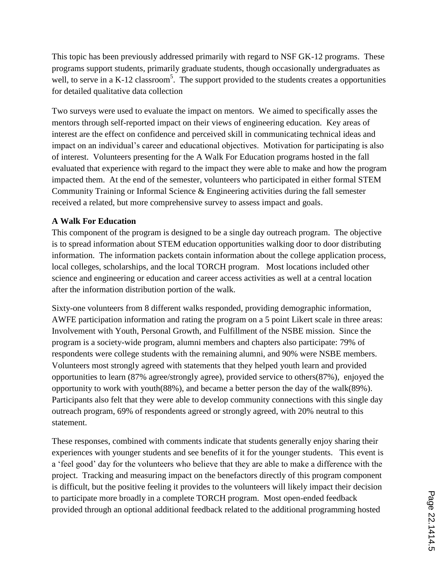This topic has been previously addressed primarily with regard to NSF GK-12 programs. These programs support students, primarily graduate students, though occasionally undergraduates as well, to serve in a K-12 classroom<sup>5</sup>. The support provided to the students creates a opportunities for detailed qualitative data collection

Two surveys were used to evaluate the impact on mentors. We aimed to specifically asses the mentors through self-reported impact on their views of engineering education. Key areas of interest are the effect on confidence and perceived skill in communicating technical ideas and impact on an individual"s career and educational objectives. Motivation for participating is also of interest. Volunteers presenting for the A Walk For Education programs hosted in the fall evaluated that experience with regard to the impact they were able to make and how the program impacted them. At the end of the semester, volunteers who participated in either formal STEM Community Training or Informal Science & Engineering activities during the fall semester received a related, but more comprehensive survey to assess impact and goals.

# **A Walk For Education**

This component of the program is designed to be a single day outreach program. The objective is to spread information about STEM education opportunities walking door to door distributing information. The information packets contain information about the college application process, local colleges, scholarships, and the local TORCH program. Most locations included other science and engineering or education and career access activities as well at a central location after the information distribution portion of the walk.

Sixty-one volunteers from 8 different walks responded, providing demographic information, AWFE participation information and rating the program on a 5 point Likert scale in three areas: Involvement with Youth, Personal Growth, and Fulfillment of the NSBE mission. Since the program is a society-wide program, alumni members and chapters also participate: 79% of respondents were college students with the remaining alumni, and 90% were NSBE members. Volunteers most strongly agreed with statements that they helped youth learn and provided opportunities to learn (87% agree/strongly agree), provided service to others(87%), enjoyed the opportunity to work with youth(88%), and became a better person the day of the walk(89%). Participants also felt that they were able to develop community connections with this single day outreach program, 69% of respondents agreed or strongly agreed, with 20% neutral to this statement.

These responses, combined with comments indicate that students generally enjoy sharing their experiences with younger students and see benefits of it for the younger students. This event is a "feel good" day for the volunteers who believe that they are able to make a difference with the project. Tracking and measuring impact on the benefactors directly of this program component is difficult, but the positive feeling it provides to the volunteers will likely impact their decision to participate more broadly in a complete TORCH program. Most open-ended feedback provided through an optional additional feedback related to the additional programming hosted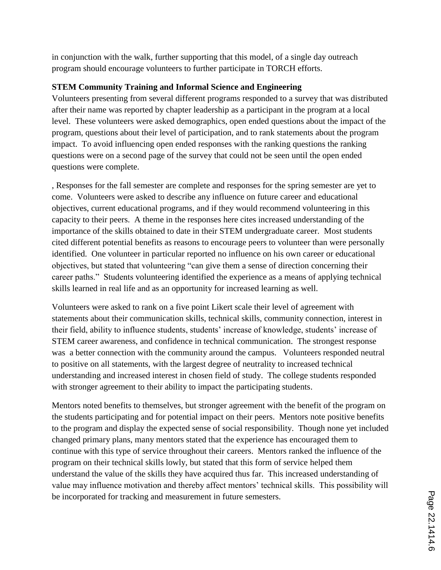in conjunction with the walk, further supporting that this model, of a single day outreach program should encourage volunteers to further participate in TORCH efforts.

## **STEM Community Training and Informal Science and Engineering**

Volunteers presenting from several different programs responded to a survey that was distributed after their name was reported by chapter leadership as a participant in the program at a local level. These volunteers were asked demographics, open ended questions about the impact of the program, questions about their level of participation, and to rank statements about the program impact. To avoid influencing open ended responses with the ranking questions the ranking questions were on a second page of the survey that could not be seen until the open ended questions were complete.

, Responses for the fall semester are complete and responses for the spring semester are yet to come. Volunteers were asked to describe any influence on future career and educational objectives, current educational programs, and if they would recommend volunteering in this capacity to their peers. A theme in the responses here cites increased understanding of the importance of the skills obtained to date in their STEM undergraduate career. Most students cited different potential benefits as reasons to encourage peers to volunteer than were personally identified. One volunteer in particular reported no influence on his own career or educational objectives, but stated that volunteering "can give them a sense of direction concerning their career paths." Students volunteering identified the experience as a means of applying technical skills learned in real life and as an opportunity for increased learning as well.

Volunteers were asked to rank on a five point Likert scale their level of agreement with statements about their communication skills, technical skills, community connection, interest in their field, ability to influence students, students" increase of knowledge, students" increase of STEM career awareness, and confidence in technical communication. The strongest response was a better connection with the community around the campus. Volunteers responded neutral to positive on all statements, with the largest degree of neutrality to increased technical understanding and increased interest in chosen field of study. The college students responded with stronger agreement to their ability to impact the participating students.

Mentors noted benefits to themselves, but stronger agreement with the benefit of the program on the students participating and for potential impact on their peers. Mentors note positive benefits to the program and display the expected sense of social responsibility. Though none yet included changed primary plans, many mentors stated that the experience has encouraged them to continue with this type of service throughout their careers. Mentors ranked the influence of the program on their technical skills lowly, but stated that this form of service helped them understand the value of the skills they have acquired thus far. This increased understanding of value may influence motivation and thereby affect mentors' technical skills. This possibility will be incorporated for tracking and measurement in future semesters.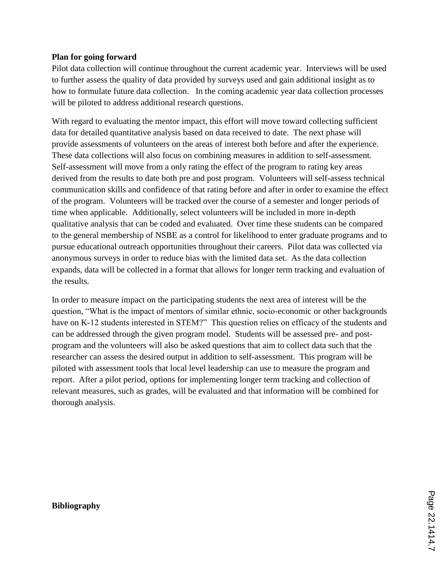### **Plan for going forward**

Pilot data collection will continue throughout the current academic year. Interviews will be used to further assess the quality of data provided by surveys used and gain additional insight as to how to formulate future data collection. In the coming academic year data collection processes will be piloted to address additional research questions.

With regard to evaluating the mentor impact, this effort will move toward collecting sufficient data for detailed quantitative analysis based on data received to date. The next phase will provide assessments of volunteers on the areas of interest both before and after the experience. These data collections will also focus on combining measures in addition to self-assessment. Self-assessment will move from a only rating the effect of the program to rating key areas derived from the results to date both pre and post program. Volunteers will self-assess technical communication skills and confidence of that rating before and after in order to examine the effect of the program. Volunteers will be tracked over the course of a semester and longer periods of time when applicable. Additionally, select volunteers will be included in more in-depth qualitative analysis that can be coded and evaluated. Over time these students can be compared to the general membership of NSBE as a control for likelihood to enter graduate programs and to pursue educational outreach opportunities throughout their careers. Pilot data was collected via anonymous surveys in order to reduce bias with the limited data set. As the data collection expands, data will be collected in a format that allows for longer term tracking and evaluation of the results.

In order to measure impact on the participating students the next area of interest will be the question, "What is the impact of mentors of similar ethnic, socio-economic or other backgrounds have on K-12 students interested in STEM?" This question relies on efficacy of the students and can be addressed through the given program model. Students will be assessed pre- and postprogram and the volunteers will also be asked questions that aim to collect data such that the researcher can assess the desired output in addition to self-assessment. This program will be piloted with assessment tools that local level leadership can use to measure the program and report. After a pilot period, options for implementing longer term tracking and collection of relevant measures, such as grades, will be evaluated and that information will be combined for thorough analysis.

### **Bibliography**